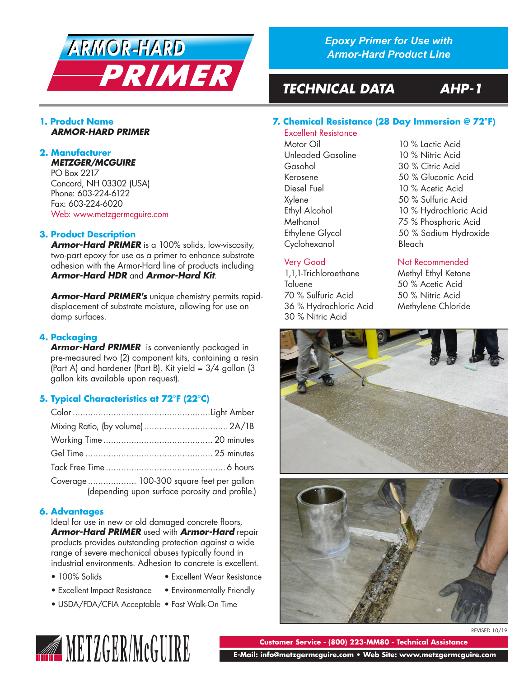

*Epoxy Primer for Use with Armor-Hard Product Line*

**7. Chemical Resistance (28 Day Immersion @ 72°F)**

Motor Oil 10 % Lactic Acid Unleaded Gasoline 10 % Nitric Acid

# *TECHNICAL DATA AHP-1*

Excellent Resistance

30 % Nitric Acid

## **1. Product Name** *ARMOR-HARD PRIMER*

#### **2. Manufacturer** *METZGER/MCGUIRE*

PO Box 2217 Concord, NH 03302 (USA) Phone: 603-224-6122 Fax: 603-224-6020 Web: www.metzgermcguire.com

# **3. Product Description**

*Armor-Hard PRIMER* is a 100% solids, low-viscosity, two-part epoxy for use as a primer to enhance substrate adhesion with the Armor-Hard line of products including *Armor-Hard HDR* and *Armor-Hard Kit*.

*Armor-Hard PRIMER's* unique chemistry permits rapiddisplacement of substrate moisture, allowing for use on damp surfaces.

# **4. Packaging**

*Armor-Hard PRIMER* is conveniently packaged in pre-measured two (2) component kits, containing a resin (Part A) and hardener (Part B). Kit yield = 3/4 gallon (3 gallon kits available upon request).

# **5. Typical Characteristics at 72°F (22°C)**

| Coverage  100-300 square feet per gallon<br>(depending upon surface porosity and profile.) |
|--------------------------------------------------------------------------------------------|

# **6. Advantages**

Ideal for use in new or old damaged concrete floors, *Armor-Hard PRIMER* used with *Armor-Hard* repair products provides outstanding protection against a wide range of severe mechanical abuses typically found in industrial environments. Adhesion to concrete is excellent.

- 
- 100% Solids Excellent Wear Resistance
- Excellent Impact Resistance Environmentally Friendly
	-
- USDA/FDA/CFIA Acceptable Fast Walk-On Time



# Very Good Not Recommended

1,1,1-Trichloroethane Methyl Ethyl Ketone Toluene 50 % Acetic Acid 70 % Sulfuric Acid 50 % Nitric Acid 36 % Hydrochloric Acid Methylene Chloride





REVISED 10/19

**Customer Service - (800) 223-MM80 - Technical Assistance**

 **E-Mail: info@metzgermcguire.com • Web Site: www.metzgermcguire.com**

|  | <b>Customer Se</b> |  |  |
|--|--------------------|--|--|
|  |                    |  |  |
|  |                    |  |  |